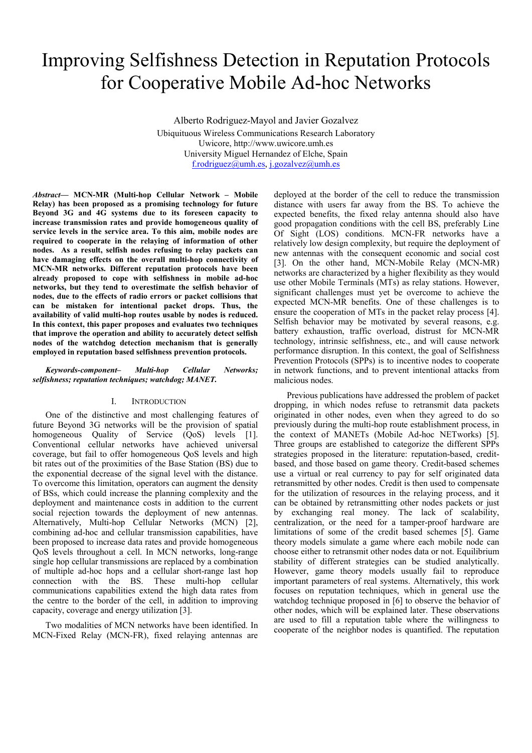# Improving Selfishness Detection in Reputation Protocols for Cooperative Mobile Ad-hoc Networks

Alberto Rodriguez-Mayol and Javier Gozalvez Ubiquituous Wireless Communications Research Laboratory Uwicore, http://www.uwicore.umh.es University Miguel Hernandez of Elche, Spain f.rodriguez@umh.es, j.gozalvez@umh.es

*Abstract***— MCN-MR (Multi-hop Cellular Network – Mobile Relay) has been proposed as a promising technology for future Beyond 3G and 4G systems due to its foreseen capacity to increase transmission rates and provide homogeneous quality of service levels in the service area. To this aim, mobile nodes are required to cooperate in the relaying of information of other nodes. As a result, selfish nodes refusing to relay packets can have damaging effects on the overall multi-hop connectivity of MCN-MR networks. Different reputation protocols have been already proposed to cope with selfishness in mobile ad-hoc networks, but they tend to overestimate the selfish behavior of nodes, due to the effects of radio errors or packet collisions that can be mistaken for intentional packet drops. Thus, the availability of valid multi-hop routes usable by nodes is reduced. In this context, this paper proposes and evaluates two techniques that improve the operation and ability to accurately detect selfish nodes of the watchdog detection mechanism that is generally employed in reputation based selfishness prevention protocols.** 

*Keywords-component– Multi-hop Cellular Networks; selfishness; reputation techniques; watchdog; MANET.*

## I. INTRODUCTION

One of the distinctive and most challenging features of future Beyond 3G networks will be the provision of spatial homogeneous Quality of Service (QoS) levels [1]. Conventional cellular networks have achieved universal coverage, but fail to offer homogeneous QoS levels and high bit rates out of the proximities of the Base Station (BS) due to the exponential decrease of the signal level with the distance. To overcome this limitation, operators can augment the density of BSs, which could increase the planning complexity and the deployment and maintenance costs in addition to the current social rejection towards the deployment of new antennas. Alternatively, Multi-hop Cellular Networks (MCN) [2], combining ad-hoc and cellular transmission capabilities, have been proposed to increase data rates and provide homogeneous QoS levels throughout a cell. In MCN networks, long-range single hop cellular transmissions are replaced by a combination of multiple ad-hoc hops and a cellular short-range last hop connection with the BS. These multi-hop cellular communications capabilities extend the high data rates from the centre to the border of the cell, in addition to improving capacity, coverage and energy utilization [3].

Two modalities of MCN networks have been identified. In MCN-Fixed Relay (MCN-FR), fixed relaying antennas are deployed at the border of the cell to reduce the transmission distance with users far away from the BS. To achieve the expected benefits, the fixed relay antenna should also have good propagation conditions with the cell BS, preferably Line Of Sight (LOS) conditions. MCN-FR networks have a relatively low design complexity, but require the deployment of new antennas with the consequent economic and social cost [3]. On the other hand, MCN-Mobile Relay (MCN-MR) networks are characterized by a higher flexibility as they would use other Mobile Terminals (MTs) as relay stations. However, significant challenges must yet be overcome to achieve the expected MCN-MR benefits. One of these challenges is to ensure the cooperation of MTs in the packet relay process [4]. Selfish behavior may be motivated by several reasons, e.g. battery exhaustion, traffic overload, distrust for MCN-MR technology, intrinsic selfishness, etc., and will cause network performance disruption. In this context, the goal of Selfishness Prevention Protocols (SPPs) is to incentive nodes to cooperate in network functions, and to prevent intentional attacks from malicious nodes.

Previous publications have addressed the problem of packet dropping, in which nodes refuse to retransmit data packets originated in other nodes, even when they agreed to do so previously during the multi-hop route establishment process, in the context of MANETs (Mobile Ad-hoc NETworks) [5]. Three groups are established to categorize the different SPPs strategies proposed in the literature: reputation-based, creditbased, and those based on game theory. Credit-based schemes use a virtual or real currency to pay for self originated data retransmitted by other nodes. Credit is then used to compensate for the utilization of resources in the relaying process, and it can be obtained by retransmitting other nodes packets or just by exchanging real money. The lack of scalability, centralization, or the need for a tamper-proof hardware are limitations of some of the credit based schemes [5]. Game theory models simulate a game where each mobile node can choose either to retransmit other nodes data or not. Equilibrium stability of different strategies can be studied analytically. However, game theory models usually fail to reproduce important parameters of real systems. Alternatively, this work focuses on reputation techniques, which in general use the watchdog technique proposed in [6] to observe the behavior of other nodes, which will be explained later. These observations are used to fill a reputation table where the willingness to cooperate of the neighbor nodes is quantified. The reputation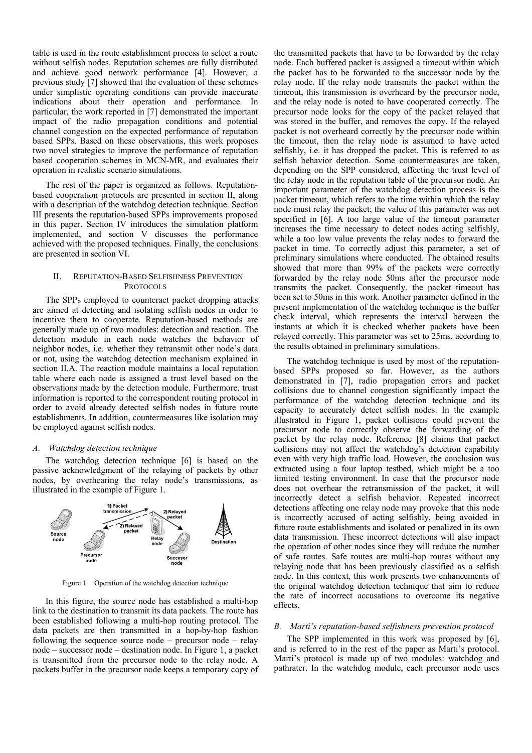table is used in the route establishment process to select a route without selfish nodes. Reputation schemes are fully distributed and achieve good network performance [4]. However, a previous study [7] showed that the evaluation of these schemes under simplistic operating conditions can provide inaccurate indications about their operation and performance. In particular, the work reported in [7] demonstrated the important impact of the radio propagation conditions and potential channel congestion on the expected performance of reputation based SPPs. Based on these observations, this work proposes two novel strategies to improve the performance of reputation based cooperation schemes in MCN-MR, and evaluates their operation in realistic scenario simulations.

The rest of the paper is organized as follows. Reputationbased cooperation protocols are presented in section II, along with a description of the watchdog detection technique. Section III presents the reputation-based SPPs improvements proposed in this paper. Section IV introduces the simulation platform implemented, and section V discusses the performance achieved with the proposed techniques. Finally, the conclusions are presented in section VI.

## II. REPUTATION-BASED SELFISHNESS PREVENTION PROTOCOLS

The SPPs employed to counteract packet dropping attacks are aimed at detecting and isolating selfish nodes in order to incentive them to cooperate. Reputation-based methods are generally made up of two modules: detection and reaction. The detection module in each node watches the behavior of neighbor nodes, i.e. whether they retransmit other node's data or not, using the watchdog detection mechanism explained in section II.A. The reaction module maintains a local reputation table where each node is assigned a trust level based on the observations made by the detection module. Furthermore, trust information is reported to the correspondent routing protocol in order to avoid already detected selfish nodes in future route establishments. In addition, countermeasures like isolation may be employed against selfish nodes.

#### *A. Watchdog detection technique*

The watchdog detection technique [6] is based on the passive acknowledgment of the relaying of packets by other nodes, by overhearing the relay node's transmissions, as illustrated in the example of Figure 1.



Figure 1. Operation of the watchdog detection technique

In this figure, the source node has established a multi-hop link to the destination to transmit its data packets. The route has been established following a multi-hop routing protocol. The data packets are then transmitted in a hop-by-hop fashion following the sequence source node – precursor node – relay node – successor node – destination node. In Figure 1, a packet is transmitted from the precursor node to the relay node. A packets buffer in the precursor node keeps a temporary copy of

the transmitted packets that have to be forwarded by the relay node. Each buffered packet is assigned a timeout within which the packet has to be forwarded to the successor node by the relay node. If the relay node transmits the packet within the timeout, this transmission is overheard by the precursor node, and the relay node is noted to have cooperated correctly. The precursor node looks for the copy of the packet relayed that was stored in the buffer, and removes the copy. If the relayed packet is not overheard correctly by the precursor node within the timeout, then the relay node is assumed to have acted selfishly, i.e. it has dropped the packet. This is referred to as selfish behavior detection. Some countermeasures are taken, depending on the SPP considered, affecting the trust level of the relay node in the reputation table of the precursor node. An important parameter of the watchdog detection process is the packet timeout, which refers to the time within which the relay node must relay the packet; the value of this parameter was not specified in [6]. A too large value of the timeout parameter increases the time necessary to detect nodes acting selfishly, while a too low value prevents the relay nodes to forward the packet in time. To correctly adjust this parameter, a set of preliminary simulations where conducted. The obtained results showed that more than 99% of the packets were correctly forwarded by the relay node 50ms after the precursor node transmits the packet. Consequently, the packet timeout has been set to 50ms in this work. Another parameter defined in the present implementation of the watchdog technique is the buffer check interval, which represents the interval between the instants at which it is checked whether packets have been relayed correctly. This parameter was set to 25ms, according to the results obtained in preliminary simulations.

The watchdog technique is used by most of the reputationbased SPPs proposed so far. However, as the authors demonstrated in [7], radio propagation errors and packet collisions due to channel congestion significantly impact the performance of the watchdog detection technique and its capacity to accurately detect selfish nodes. In the example illustrated in Figure 1, packet collisions could prevent the precursor node to correctly observe the forwarding of the packet by the relay node. Reference [8] claims that packet collisions may not affect the watchdog's detection capability even with very high traffic load. However, the conclusion was extracted using a four laptop testbed, which might be a too limited testing environment. In case that the precursor node does not overhear the retransmission of the packet, it will incorrectly detect a selfish behavior. Repeated incorrect detections affecting one relay node may provoke that this node is incorrectly accused of acting selfishly, being avoided in future route establishments and isolated or penalized in its own data transmission. These incorrect detections will also impact the operation of other nodes since they will reduce the number of safe routes. Safe routes are multi-hop routes without any relaying node that has been previously classified as a selfish node. In this context, this work presents two enhancements of the original watchdog detection technique that aim to reduce the rate of incorrect accusations to overcome its negative effects.

### *B. Marti's reputation-based selfishness prevention protocol*

The SPP implemented in this work was proposed by [6], and is referred to in the rest of the paper as Marti's protocol. Marti's protocol is made up of two modules: watchdog and pathrater. In the watchdog module, each precursor node uses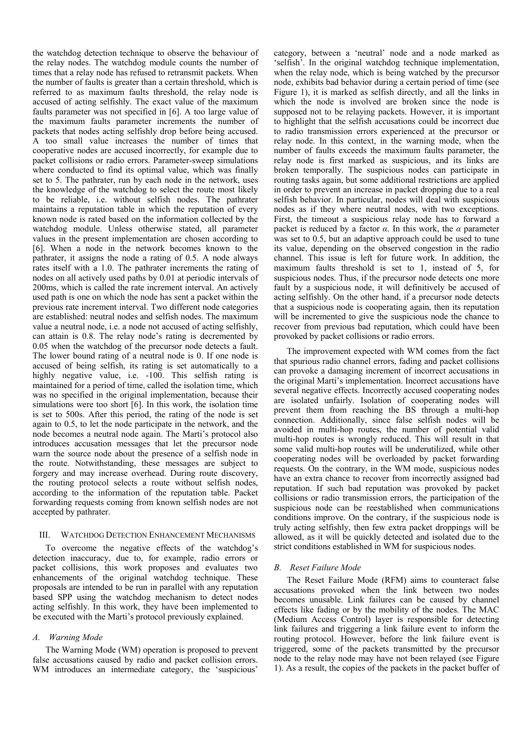the watchdog detection technique to observe the behaviour of the relay nodes. The watchdog module counts the number of times that a relay node has refused to retransmit packets. When the number of faults is greater than a certain threshold, which is referred to as maximum faults threshold, the relay node is accused of acting selfishly. The exact value of the maximum faults parameter was not specified in [6]. A too large value of the maximum faults parameter increments the number of packets that nodes acting selfishly drop before being accused. A too small value increases the number of times that cooperative nodes are accused incorrectly, for example due to packet collisions or radio errors. Parameter-sweep simulations where conducted to find its optimal value, which was finally set to 5. The pathrater, run by each node in the network, uses the knowledge of the watchdog to select the route most likely to be reliable, i.e. without selfish nodes. The pathrater maintains a reputation table in which the reputation of every known node is rated based on the information collected by the watchdog module. Unless otherwise stated, all parameter values in the present implementation are chosen according to [6]. When a node in the network becomes known to the pathrater, it assigns the node a rating of 0.5. A node always rates itself with a 1.0. The pathrater increments the rating of nodes on all actively used paths by 0.01 at periodic intervals of 200ms, which is called the rate increment interval. An actively used path is one on which the node has sent a packet within the previous rate increment interval. Two different node categories are established: neutral nodes and selfish nodes. The maximum value a neutral node, i.e. a node not accused of acting selfishly, can attain is 0.8. The relay node's rating is decremented by 0.05 when the watchdog of the precursor node detects a fault. The lower bound rating of a neutral node is 0. If one node is accused of being selfish, its rating is set automatically to a highly negative value, i.e. -100. This selfish rating is maintained for a period of time, called the isolation time, which was no specified in the original implementation, because their simulations were too short [6]. In this work, the isolation time is set to 500s. After this period, the rating of the node is set again to 0.5, to let the node participate in the network, and the node becomes a neutral node again. The Marti's protocol also introduces accusation messages that let the precursor node warn the source node about the presence of a selfish node in the route. Notwithstanding, these messages are subject to forgery and may increase overhead. During route discovery, the routing protocol selects a route without selfish nodes, according to the information of the reputation table. Packet forwarding requests coming from known selfish nodes are not accepted by pathrater.

## III. WATCHDOG DETECTION ENHANCEMENT MECHANISMS

To overcome the negative effects of the watchdog's detection inaccuracy, due to, for example, radio errors or packet collisions, this work proposes and evaluates two enhancements of the original watchdog technique. These proposals are intended to be run in parallel with any reputation based SPP using the watchdog mechanism to detect nodes acting selfishly. In this work, they have been implemented to be executed with the Marti's protocol previously explained.

## *A. Warning Mode*

The Warning Mode (WM) operation is proposed to prevent false accusations caused by radio and packet collision errors. WM introduces an intermediate category, the 'suspicious'

category, between a 'neutral' node and a node marked as 'selfish'. In the original watchdog technique implementation, when the relay node, which is being watched by the precursor node, exhibits bad behavior during a certain period of time (see Figure 1), it is marked as selfish directly, and all the links in which the node is involved are broken since the node is supposed not to be relaying packets. However, it is important to highlight that the selfish accusations could be incorrect due to radio transmission errors experienced at the precursor or relay node. In this context, in the warning mode, when the number of faults exceeds the maximum faults parameter, the relay node is first marked as suspicious, and its links are broken temporally. The suspicious nodes can participate in routing tasks again, but some additional restrictions are applied in order to prevent an increase in packet dropping due to a real selfish behavior. In particular, nodes will deal with suspicious nodes as if they where neutral nodes, with two exceptions. First, the timeout a suspicious relay node has to forward a packet is reduced by a factor  $\alpha$ . In this work, the  $\alpha$  parameter was set to 0.5, but an adaptive approach could be used to tune its value, depending on the observed congestion in the radio channel. This issue is left for future work. In addition, the maximum faults threshold is set to 1, instead of 5, for suspicious nodes. Thus, if the precursor node detects one more fault by a suspicious node, it will definitively be accused of acting selfishly. On the other hand, if a precursor node detects that a suspicious node is cooperating again, then its reputation will be incremented to give the suspicious node the chance to recover from previous bad reputation, which could have been provoked by packet collisions or radio errors.

The improvement expected with WM comes from the fact that spurious radio channel errors, fading and packet collisions can provoke a damaging increment of incorrect accusations in the original Marti's implementation. Incorrect accusations have several negative effects. Incorrectly accused cooperating nodes are isolated unfairly. Isolation of cooperating nodes will prevent them from reaching the BS through a multi-hop connection. Additionally, since false selfish nodes will be avoided in multi-hop routes, the number of potential valid multi-hop routes is wrongly reduced. This will result in that some valid multi-hop routes will be underutilized, while other cooperating nodes will be overloaded by packet forwarding requests. On the contrary, in the WM mode, suspicious nodes have an extra chance to recover from incorrectly assigned bad reputation. If such bad reputation was provoked by packet collisions or radio transmission errors, the participation of the suspicious node can be reestablished when communications conditions improve. On the contrary, if the suspicious node is truly acting selfishly, then few extra packet droppings will be allowed, as it will be quickly detected and isolated due to the strict conditions established in WM for suspicious nodes.

## *B. Reset Failure Mode*

The Reset Failure Mode (RFM) aims to counteract false accusations provoked when the link between two nodes becomes unusable. Link failures can be caused by channel effects like fading or by the mobility of the nodes. The MAC (Medium Access Control) layer is responsible for detecting link failures and triggering a link failure event to inform the routing protocol. However, before the link failure event is triggered, some of the packets transmitted by the precursor node to the relay node may have not been relayed (see Figure 1). As a result, the copies of the packets in the packet buffer of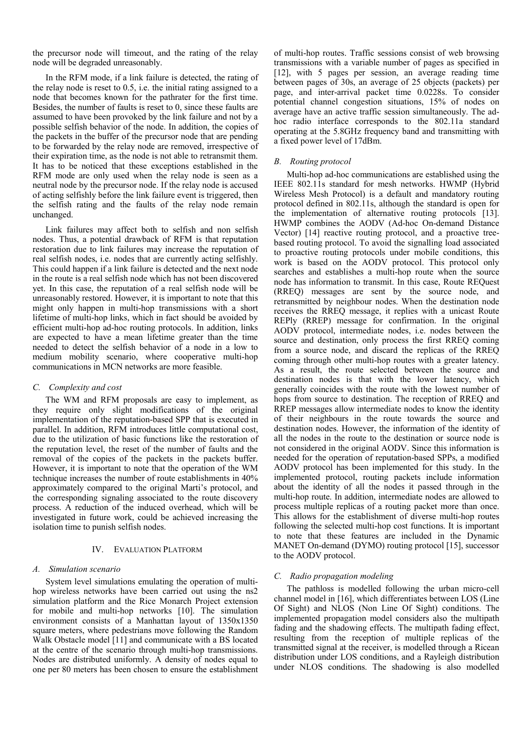the precursor node will timeout, and the rating of the relay node will be degraded unreasonably.

In the RFM mode, if a link failure is detected, the rating of the relay node is reset to 0.5, i.e. the initial rating assigned to a node that becomes known for the pathrater for the first time. Besides, the number of faults is reset to 0, since these faults are assumed to have been provoked by the link failure and not by a possible selfish behavior of the node. In addition, the copies of the packets in the buffer of the precursor node that are pending to be forwarded by the relay node are removed, irrespective of their expiration time, as the node is not able to retransmit them. It has to be noticed that these exceptions established in the RFM mode are only used when the relay node is seen as a neutral node by the precursor node. If the relay node is accused of acting selfishly before the link failure event is triggered, then the selfish rating and the faults of the relay node remain unchanged.

Link failures may affect both to selfish and non selfish nodes. Thus, a potential drawback of RFM is that reputation restoration due to link failures may increase the reputation of real selfish nodes, i.e. nodes that are currently acting selfishly. This could happen if a link failure is detected and the next node in the route is a real selfish node which has not been discovered yet. In this case, the reputation of a real selfish node will be unreasonably restored. However, it is important to note that this might only happen in multi-hop transmissions with a short lifetime of multi-hop links, which in fact should be avoided by efficient multi-hop ad-hoc routing protocols. In addition, links are expected to have a mean lifetime greater than the time needed to detect the selfish behavior of a node in a low to medium mobility scenario, where cooperative multi-hop communications in MCN networks are more feasible.

## *C. Complexity and cost*

The WM and RFM proposals are easy to implement, as they require only slight modifications of the original implementation of the reputation-based SPP that is executed in parallel. In addition, RFM introduces little computational cost, due to the utilization of basic functions like the restoration of the reputation level, the reset of the number of faults and the removal of the copies of the packets in the packets buffer. However, it is important to note that the operation of the WM technique increases the number of route establishments in 40% approximately compared to the original Marti's protocol, and the corresponding signaling associated to the route discovery process. A reduction of the induced overhead, which will be investigated in future work, could be achieved increasing the isolation time to punish selfish nodes.

#### IV. EVALUATION PLATFORM

#### *A. Simulation scenario*

System level simulations emulating the operation of multihop wireless networks have been carried out using the ns2 simulation platform and the Rice Monarch Project extension for mobile and multi-hop networks [10]. The simulation environment consists of a Manhattan layout of 1350x1350 square meters, where pedestrians move following the Random Walk Obstacle model [11] and communicate with a BS located at the centre of the scenario through multi-hop transmissions. Nodes are distributed uniformly. A density of nodes equal to one per 80 meters has been chosen to ensure the establishment of multi-hop routes. Traffic sessions consist of web browsing transmissions with a variable number of pages as specified in [12], with 5 pages per session, an average reading time between pages of 30s, an average of 25 objects (packets) per page, and inter-arrival packet time 0.0228s. To consider potential channel congestion situations, 15% of nodes on average have an active traffic session simultaneously. The adhoc radio interface corresponds to the 802.11a standard operating at the 5.8GHz frequency band and transmitting with a fixed power level of 17dBm.

## *B. Routing protocol*

Multi-hop ad-hoc communications are established using the IEEE 802.11s standard for mesh networks. HWMP (Hybrid Wireless Mesh Protocol) is a default and mandatory routing protocol defined in 802.11s, although the standard is open for the implementation of alternative routing protocols [13]. HWMP combines the AODV (Ad-hoc On-demand Distance Vector) [14] reactive routing protocol, and a proactive treebased routing protocol. To avoid the signalling load associated to proactive routing protocols under mobile conditions, this work is based on the AODV protocol. This protocol only searches and establishes a multi-hop route when the source node has information to transmit. In this case, Route REQuest (RREQ) messages are sent by the source node, and retransmitted by neighbour nodes. When the destination node receives the RREQ message, it replies with a unicast Route REPly (RREP) message for confirmation. In the original AODV protocol, intermediate nodes, i.e. nodes between the source and destination, only process the first RREQ coming from a source node, and discard the replicas of the RREQ coming through other multi-hop routes with a greater latency. As a result, the route selected between the source and destination nodes is that with the lower latency, which generally coincides with the route with the lowest number of hops from source to destination. The reception of RREO and RREP messages allow intermediate nodes to know the identity of their neighbours in the route towards the source and destination nodes. However, the information of the identity of all the nodes in the route to the destination or source node is not considered in the original AODV. Since this information is needed for the operation of reputation-based SPPs, a modified AODV protocol has been implemented for this study. In the implemented protocol, routing packets include information about the identity of all the nodes it passed through in the multi-hop route. In addition, intermediate nodes are allowed to process multiple replicas of a routing packet more than once. This allows for the establishment of diverse multi-hop routes following the selected multi-hop cost functions. It is important to note that these features are included in the Dynamic MANET On-demand (DYMO) routing protocol [15], successor to the AODV protocol.

## *C. Radio propagation modeling*

The pathloss is modelled following the urban micro-cell channel model in [16], which differentiates between LOS (Line Of Sight) and NLOS (Non Line Of Sight) conditions. The implemented propagation model considers also the multipath fading and the shadowing effects. The multipath fading effect, resulting from the reception of multiple replicas of the transmitted signal at the receiver, is modelled through a Ricean distribution under LOS conditions, and a Rayleigh distribution under NLOS conditions. The shadowing is also modelled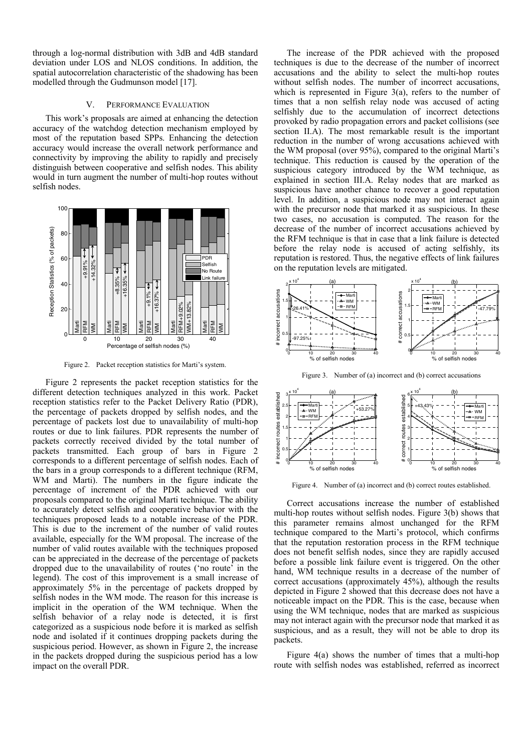through a log-normal distribution with 3dB and 4dB standard deviation under LOS and NLOS conditions. In addition, the spatial autocorrelation characteristic of the shadowing has been modelled through the Gudmunson model [17].

### V. PERFORMANCE EVALUATION

This work's proposals are aimed at enhancing the detection accuracy of the watchdog detection mechanism employed by most of the reputation based SPPs. Enhancing the detection accuracy would increase the overall network performance and connectivity by improving the ability to rapidly and precisely distinguish between cooperative and selfish nodes. This ability would in turn augment the number of multi-hop routes without selfish nodes.



Figure 2. Packet reception statistics for Marti's system.

Figure 2 represents the packet reception statistics for the different detection techniques analyzed in this work. Packet reception statistics refer to the Packet Delivery Ratio (PDR), the percentage of packets dropped by selfish nodes, and the percentage of packets lost due to unavailability of multi-hop routes or due to link failures. PDR represents the number of packets correctly received divided by the total number of packets transmitted. Each group of bars in Figure 2 corresponds to a different percentage of selfish nodes. Each of the bars in a group corresponds to a different technique (RFM, WM and Marti). The numbers in the figure indicate the percentage of increment of the PDR achieved with our proposals compared to the original Marti technique. The ability to accurately detect selfish and cooperative behavior with the techniques proposed leads to a notable increase of the PDR. This is due to the increment of the number of valid routes available, especially for the WM proposal. The increase of the number of valid routes available with the techniques proposed can be appreciated in the decrease of the percentage of packets dropped due to the unavailability of routes ('no route' in the legend). The cost of this improvement is a small increase of approximately 5% in the percentage of packets dropped by selfish nodes in the WM mode. The reason for this increase is implicit in the operation of the WM technique. When the selfish behavior of a relay node is detected, it is first categorized as a suspicious node before it is marked as selfish node and isolated if it continues dropping packets during the suspicious period. However, as shown in Figure 2, the increase in the packets dropped during the suspicious period has a low impact on the overall PDR.

The increase of the PDR achieved with the proposed techniques is due to the decrease of the number of incorrect accusations and the ability to select the multi-hop routes without selfish nodes. The number of incorrect accusations, which is represented in Figure 3(a), refers to the number of times that a non selfish relay node was accused of acting selfishly due to the accumulation of incorrect detections provoked by radio propagation errors and packet collisions (see section II.A). The most remarkable result is the important reduction in the number of wrong accusations achieved with the WM proposal (over 95%), compared to the original Marti's technique. This reduction is caused by the operation of the suspicious category introduced by the WM technique, as explained in section III.A. Relay nodes that are marked as suspicious have another chance to recover a good reputation level. In addition, a suspicious node may not interact again with the precursor node that marked it as suspicious. In these two cases, no accusation is computed. The reason for the decrease of the number of incorrect accusations achieved by the RFM technique is that in case that a link failure is detected before the relay node is accused of acting selfishly, its reputation is restored. Thus, the negative effects of link failures on the reputation levels are mitigated.



Figure 3. Number of (a) incorrect and (b) correct accusations



Figure 4. Number of (a) incorrect and (b) correct routes established.

Correct accusations increase the number of established multi-hop routes without selfish nodes. Figure 3(b) shows that this parameter remains almost unchanged for the RFM technique compared to the Marti's protocol, which confirms that the reputation restoration process in the RFM technique does not benefit selfish nodes, since they are rapidly accused before a possible link failure event is triggered. On the other hand, WM technique results in a decrease of the number of correct accusations (approximately 45%), although the results depicted in Figure 2 showed that this decrease does not have a noticeable impact on the PDR. This is the case, because when using the WM technique, nodes that are marked as suspicious may not interact again with the precursor node that marked it as suspicious, and as a result, they will not be able to drop its packets.

Figure 4(a) shows the number of times that a multi-hop route with selfish nodes was established, referred as incorrect